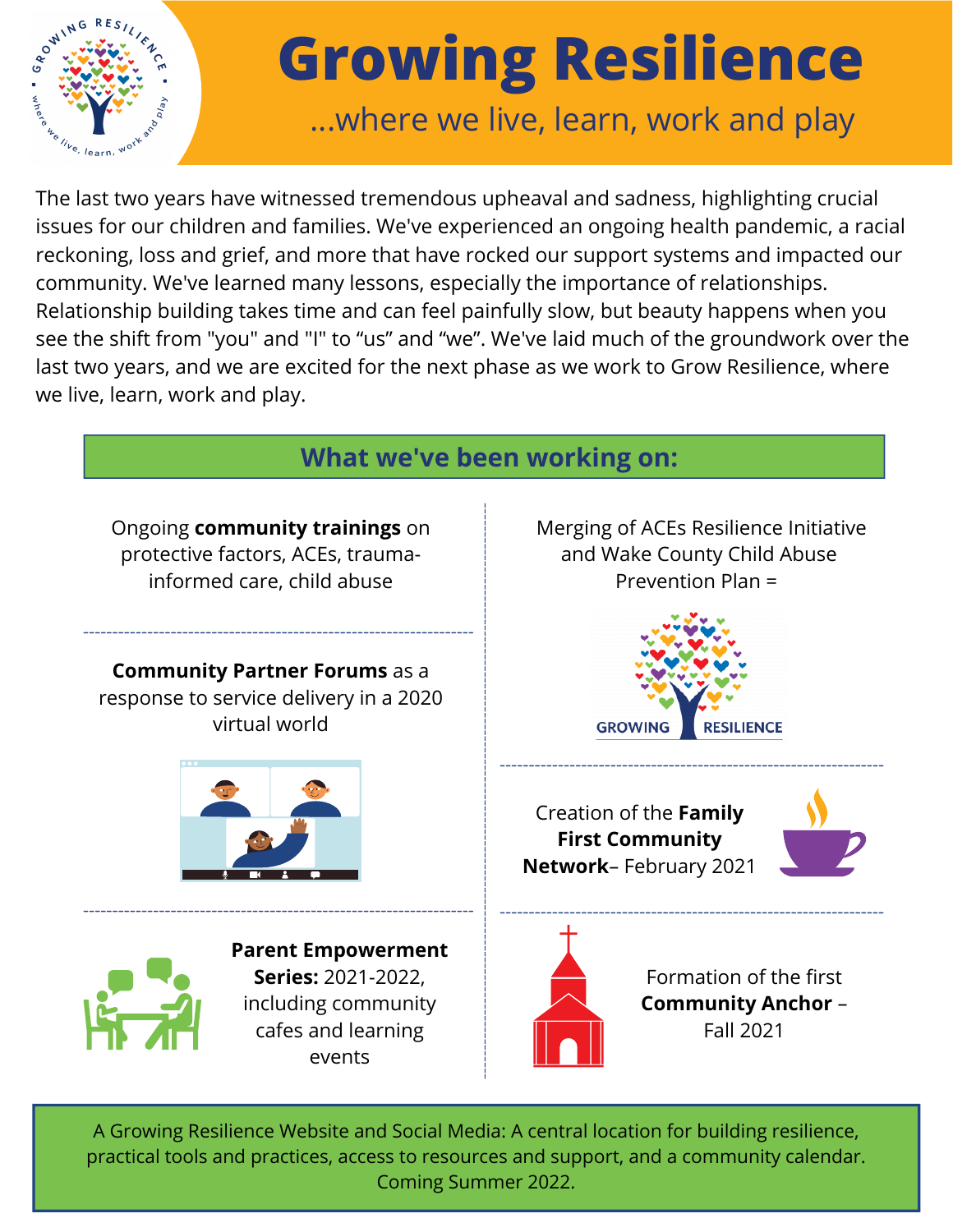

## **Growing Resilience**

## ...where we live, learn, work and play

The last two years have witnessed tremendous upheaval and sadness, highlighting crucial issues for our children and families. We've experienced an ongoing health pandemic, a racial reckoning, loss and grief, and more that have rocked our support systems and impacted our community. We've learned many lessons, especially the importance of relationships. Relationship building takes time and can feel painfully slow, but beauty happens when you see the shift from "you" and "I" to "us" and "we". We've laid much of the groundwork over the last two years, and we are excited for the next phase as we work to Grow Resilience, where we live, learn, work and play.



A Growing Resilience Website and Social Media: A central location for building resilience, practical tools and practices, access to resources and support, and a community calendar. Coming Summer 2022.